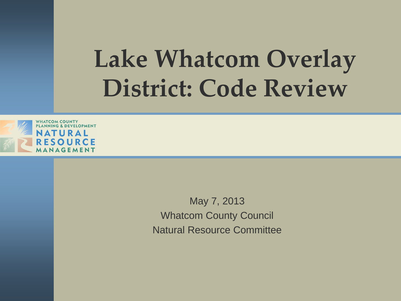#### **Lake Whatcom Overlay District: Code Review**



May 7, 2013 Whatcom County Council Natural Resource Committee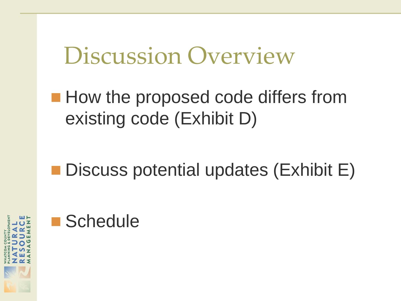#### Discussion Overview

**How the proposed code differs from** existing code (Exhibit D)

■ Discuss potential updates (Exhibit E)



#### ■ Schedule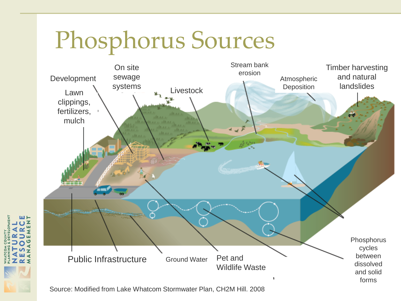#### Phosphorus Sources



Source: Modified from Lake Whatcom Stormwater Plan, CH2M Hill. 2008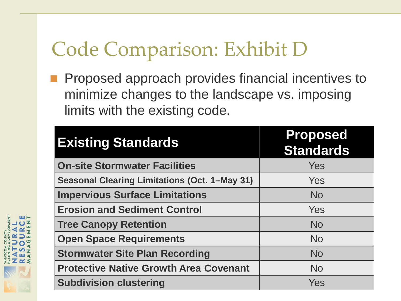#### Code Comparison: Exhibit D

**Proposed approach provides financial incentives to** minimize changes to the landscape vs. imposing limits with the existing code.

| <b>Existing Standards</b>                            | <b>Proposed</b><br><b>Standards</b> |
|------------------------------------------------------|-------------------------------------|
| <b>On-site Stormwater Facilities</b>                 | Yes                                 |
| <b>Seasonal Clearing Limitations (Oct. 1-May 31)</b> | Yes                                 |
| <b>Impervious Surface Limitations</b>                | <b>No</b>                           |
| <b>Erosion and Sediment Control</b>                  | Yes                                 |
| <b>Tree Canopy Retention</b>                         | <b>No</b>                           |
| <b>Open Space Requirements</b>                       | <b>No</b>                           |
| <b>Stormwater Site Plan Recording</b>                | <b>No</b>                           |
| <b>Protective Native Growth Area Covenant</b>        | <b>No</b>                           |
| <b>Subdivision clustering</b>                        | Yes                                 |

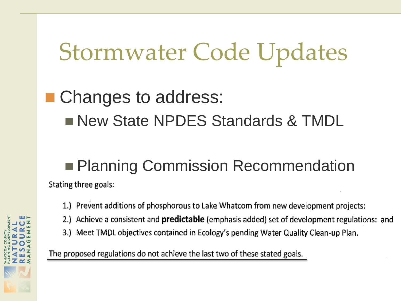# Stormwater Code Updates

#### ■ Changes to address: **New State NPDES Standards & TMDL**

#### **Planning Commission Recommendation**

Stating three goals:

- 1.) Prevent additions of phosphorous to Lake Whatcom from new development projects:
- 2.) Achieve a consistent and **predictable** (emphasis added) set of development regulations: and
- 3.) Meet TMDL objectives contained in Ecology's pending Water Quality Clean-up Plan.

The proposed regulations do not achieve the last two of these stated goals.

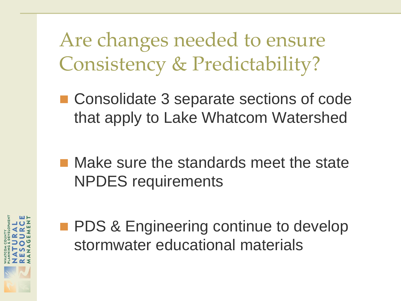Are changes needed to ensure Consistency & Predictability?

- Consolidate 3 separate sections of code that apply to Lake Whatcom Watershed
- **Nake sure the standards meet the state** NPDES requirements



**PDS & Engineering continue to develop** stormwater educational materials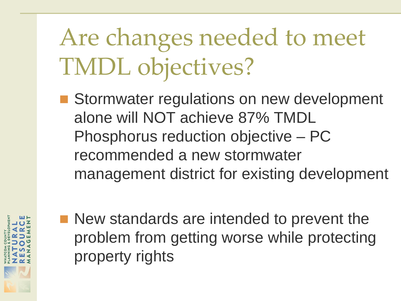## Are changes needed to meet TMDL objectives?

■ Stormwater regulations on new development alone will NOT achieve 87% TMDL Phosphorus reduction objective – PC recommended a new stormwater management district for existing development



■ New standards are intended to prevent the problem from getting worse while protecting property rights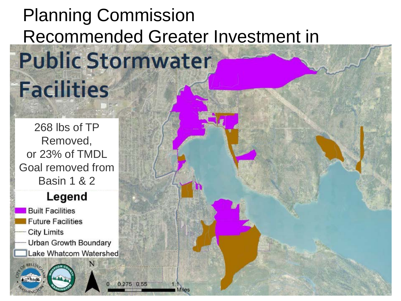#### Planning Commission Recommended Greater Investment in **Public Stormwater**

268 lbs of TP Removed, or 23% of TMDL Goal removed from Basin 1 & 2

**Facilities** 

#### Legend

**Built Facilities Future Facilities City Limits** Urban Growth Boundary Lake Whatcom Watershed

275 0.55

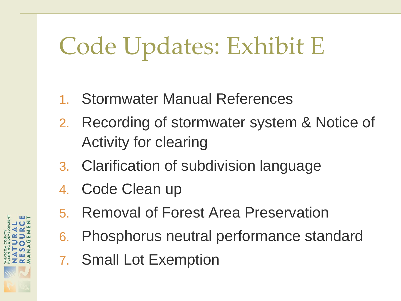- 1. Stormwater Manual References
- 2. Recording of stormwater system & Notice of Activity for clearing
- 3. Clarification of subdivision language
- 4. Code Clean up
- 5. Removal of Forest Area Preservation
- 6. Phosphorus neutral performance standard
- 7. Small Lot Exemption

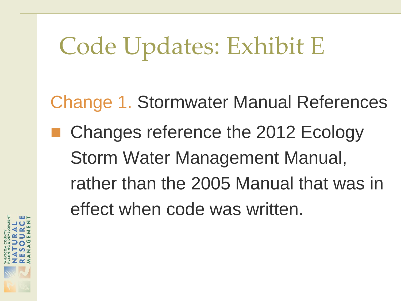Change 1. Stormwater Manual References ■ Changes reference the 2012 Ecology Storm Water Management Manual, rather than the 2005 Manual that was in effect when code was written.

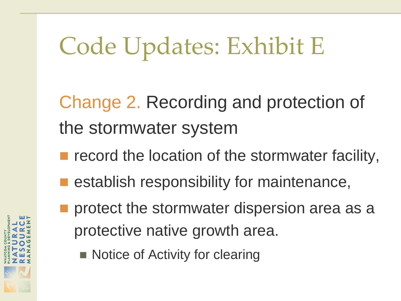Change 2. Recording and protection of the stormwater system

- record the location of the stormwater facility,
- establish responsibility for maintenance,
- protect the stormwater dispersion area as a protective native growth area.
	- Notice of Activity for clearing

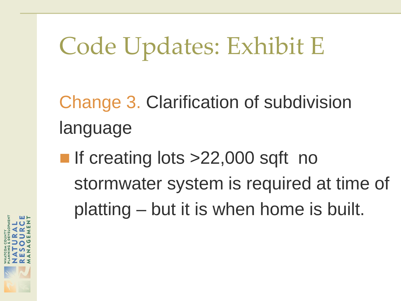Change 3. Clarification of subdivision language

If creating lots  $>22,000$  sqft no stormwater system is required at time of platting – but it is when home is built.

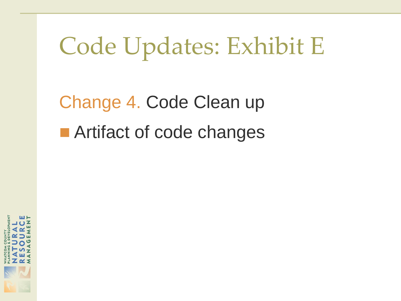Change 4. Code Clean up ■ Artifact of code changes

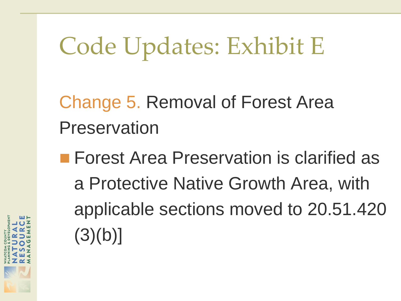Change 5. Removal of Forest Area Preservation

**Forest Area Preservation is clarified as** a Protective Native Growth Area, with applicable sections moved to 20.51.420  $(3)(b)$ ]

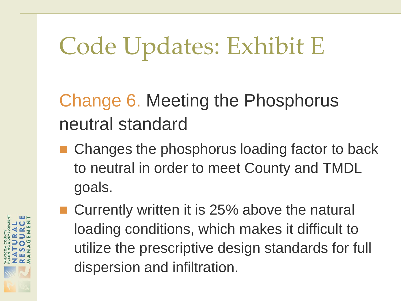Change 6. Meeting the Phosphorus neutral standard

- Changes the phosphorus loading factor to back to neutral in order to meet County and TMDL goals.
- Currently written it is 25% above the natural loading conditions, which makes it difficult to utilize the prescriptive design standards for full dispersion and infiltration.

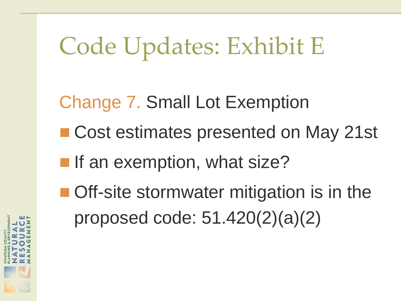Change 7. Small Lot Exemption

- Cost estimates presented on May 21st
- **If an exemption, what size?**
- Off-site stormwater mitigation is in the proposed code: 51.420(2)(a)(2)

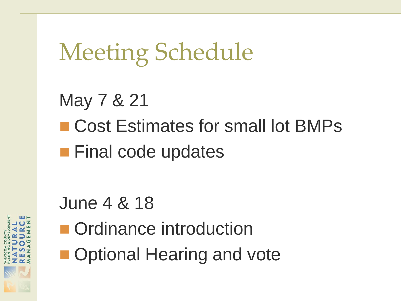## Meeting Schedule

#### May 7 & 21 ■ Cost Estimates for small lot BMPs **Final code updates**

#### June 4 & 18

- **n** Ordinance introduction
- **Optional Hearing and vote**

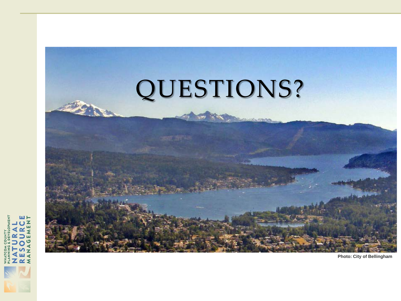

**Photo: City of Bellingham**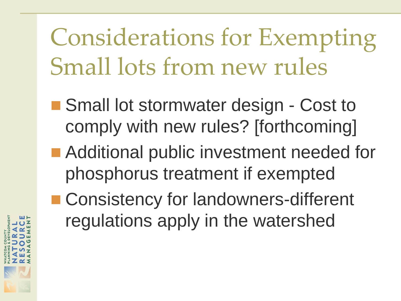Considerations for Exempting Small lots from new rules

- Small lot stormwater design Cost to comply with new rules? [forthcoming]
- **Additional public investment needed for** phosphorus treatment if exempted
- Consistency for landowners-different regulations apply in the watershed